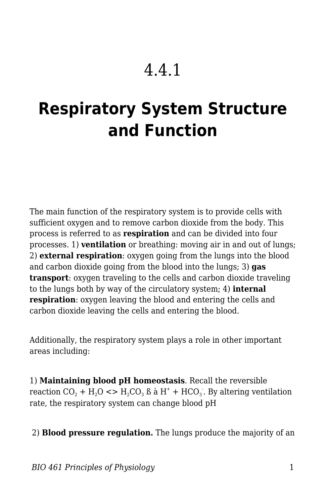## 4.4.1

## **Respiratory System Structure and Function**

The main function of the respiratory system is to provide cells with sufficient oxygen and to remove carbon dioxide from the body. This process is referred to as **respiration** and can be divided into four processes. 1) **ventilation** or breathing: moving air in and out of lungs; 2) **external respiration**: oxygen going from the lungs into the blood and carbon dioxide going from the blood into the lungs; 3) **gas transport**: oxygen traveling to the cells and carbon dioxide traveling to the lungs both by way of the circulatory system; 4) **internal respiration**: oxygen leaving the blood and entering the cells and carbon dioxide leaving the cells and entering the blood.

Additionally, the respiratory system plays a role in other important areas including:

1) **Maintaining blood pH homeostasis**. Recall the reversible reaction CO<sub>2</sub> + H<sub>2</sub>O <> H<sub>2</sub>CO<sub>3</sub> ß à H<sup>+</sup> + HCO<sub>3</sub>. By altering ventilation rate, the respiratory system can change blood pH

## 2) **Blood pressure regulation.** The lungs produce the majority of an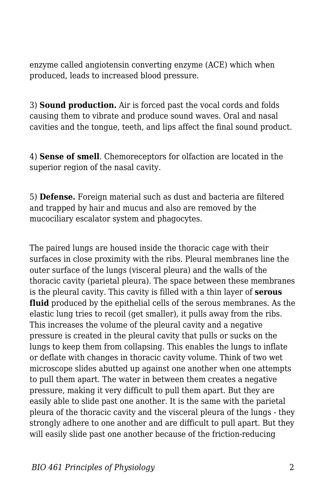enzyme called angiotensin converting enzyme (ACE) which when produced, leads to increased blood pressure.

3) **Sound production.** Air is forced past the vocal cords and folds causing them to vibrate and produce sound waves. Oral and nasal cavities and the tongue, teeth, and lips affect the final sound product.

4) **Sense of smell**. Chemoreceptors for olfaction are located in the superior region of the nasal cavity.

5) **Defense.** Foreign material such as dust and bacteria are filtered and trapped by hair and mucus and also are removed by the mucociliary escalator system and phagocytes.

The paired lungs are housed inside the thoracic cage with their surfaces in close proximity with the ribs. Pleural membranes line the outer surface of the lungs (visceral pleura) and the walls of the thoracic cavity (parietal pleura). The space between these membranes is the pleural cavity. This cavity is filled with a thin layer of **serous fluid** produced by the epithelial cells of the serous membranes. As the elastic lung tries to recoil (get smaller), it pulls away from the ribs. This increases the volume of the pleural cavity and a negative pressure is created in the pleural cavity that pulls or sucks on the lungs to keep them from collapsing. This enables the lungs to inflate or deflate with changes in thoracic cavity volume. Think of two wet microscope slides abutted up against one another when one attempts to pull them apart. The water in between them creates a negative pressure, making it very difficult to pull them apart. But they are easily able to slide past one another. It is the same with the parietal pleura of the thoracic cavity and the visceral pleura of the lungs - they strongly adhere to one another and are difficult to pull apart. But they will easily slide past one another because of the friction-reducing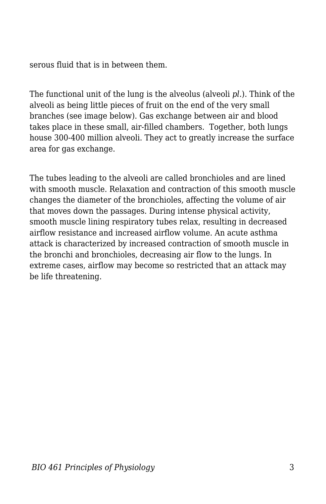serous fluid that is in between them.

The functional unit of the lung is the alveolus (alveoli *pl.*). Think of the alveoli as being little pieces of fruit on the end of the very small branches (see image below). Gas exchange between air and blood takes place in these small, air-filled chambers. Together, both lungs house 300-400 million alveoli. They act to greatly increase the surface area for gas exchange.

The tubes leading to the alveoli are called bronchioles and are lined with smooth muscle. Relaxation and contraction of this smooth muscle changes the diameter of the bronchioles, affecting the volume of air that moves down the passages. During intense physical activity, smooth muscle lining respiratory tubes relax, resulting in decreased airflow resistance and increased airflow volume. An acute asthma attack is characterized by increased contraction of smooth muscle in the bronchi and bronchioles, decreasing air flow to the lungs. In extreme cases, airflow may become so restricted that an attack may be life threatening.